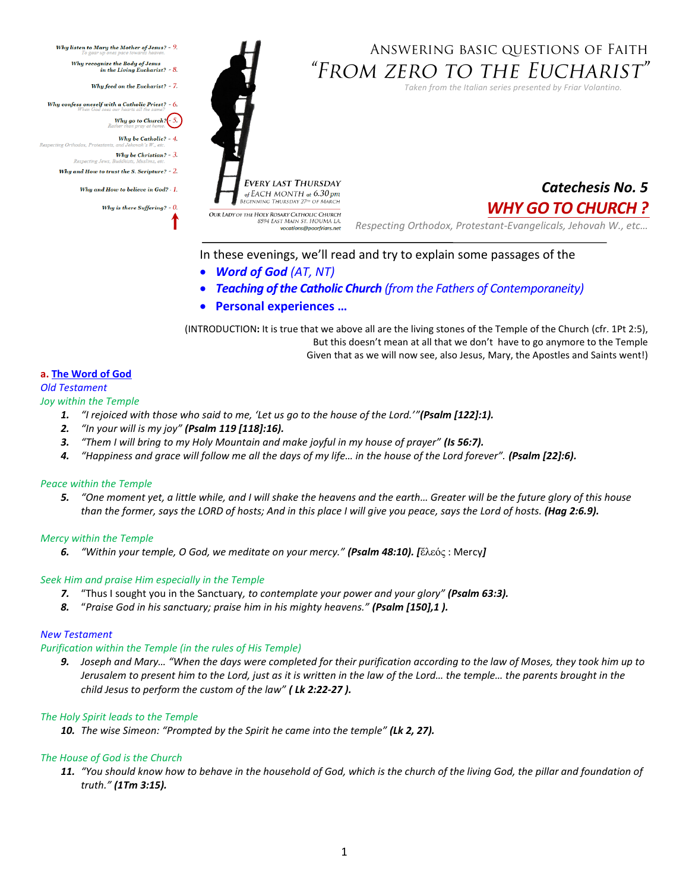

# ANSWERING BASIC QUESTIONS OF FAITH "From zero to the Eucharist"

*Taken from the Italian series presented by Friar Volantino.* 



vocations@poorfriars.net

*Catechesis No. 5 WHY GO TO CHURCH ?*

*Respecting Orthodox, Protestant-Evangelicals, Jehovah W., etc…*

# In these evenings, we'll read and try to explain some passages of the

- *Word of God (AT, NT)*
- *Teaching of the Catholic Church (from the Fathers of Contemporaneity)*
- **Personal experiences …**

(INTRODUCTION**:** It is true that we above all are the living stones of the Temple of the Church (cfr. 1Pt 2:5), But this doesn't mean at all that we don't have to go anymore to the Temple Given that as we will now see, also Jesus, Mary, the Apostles and Saints went!)

# **a. The Word of God**

## *Old Testament*

#### *Joy within the Temple*

- *1. "I rejoiced with those who said to me, 'Let us go to the house of the Lord.'"(Psalm [122]:1).*
- *2. "In your will is my joy" (Psalm 119 [118]:16).*
- *3. "Them I will bring to my Holy Mountain and make joyful in my house of prayer" (Is 56:7).*
- *4. "Happiness and grace will follow me all the days of my life… in the house of the Lord forever". (Psalm [22]:6).*

# *Peace within the Temple*

*5. "One moment yet, a little while, and I will shake the heavens and the earth… Greater will be the future glory of this house than the former, says the LORD of hosts; And in this place I will give you peace, says the Lord of hosts. (Hag 2:6.9).* 

# *Mercy within the Temple*

*6. "Within your temple, O God, we meditate on your mercy." (Psalm 48:10). [*ἔλεός : Mercy*]*

# *Seek Him and praise Him especially in the Temple*

- *7.* "Thus I sought you in the Sanctuary*, to contemplate your power and your glory" (Psalm 63:3).*
- *8.* "*Praise God in his sanctuary; praise him in his mighty heavens." (Psalm [150],1 ).*

#### *New Testament*

#### *Purification within the Temple (in the rules of His Temple)*

*9. Joseph and Mary… "When the days were completed for their purification according to the law of Moses, they took him up to Jerusalem to present him to the Lord, just as it is written in the law of the Lord… the temple… the parents brought in the child Jesus to perform the custom of the law" ( Lk 2:22-27 ).* 

# *The Holy Spirit leads to the Temple*

*10. The wise Simeon: "Prompted by the Spirit he came into the temple" (Lk 2, 27).* 

# *The House of God is the Church*

*11. "You should know how to behave in the household of God, which is the church of the living God, the pillar and foundation of truth." (1Tm 3:15).*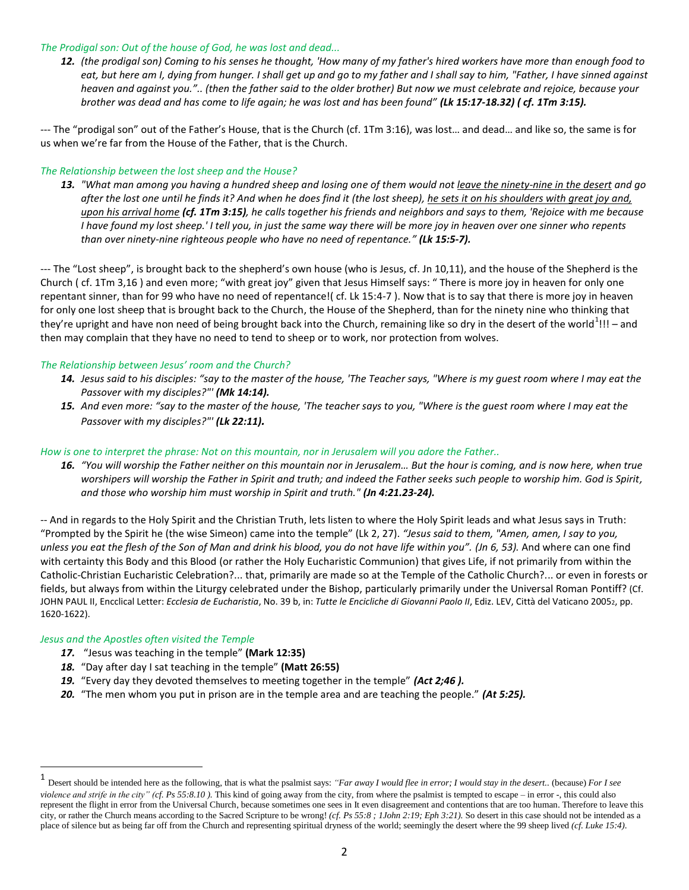#### *The Prodigal son: Out of the house of God, he was lost and dead...*

*12. (the prodigal son) Coming to his senses he thought, 'How many of my father's hired workers have more than enough food to eat, but here am I, dying from hunger. I shall get up and go to my father and I shall say to him, "Father, I have sinned against heaven and against you.".. (then the father said to the older brother) But now we must celebrate and rejoice, because your brother was dead and has come to life again; he was lost and has been found" (Lk 15:17-18.32) ( cf. 1Tm 3:15).* 

--- The "prodigal son" out of the Father's House, that is the Church (cf. 1Tm 3:16), was lost… and dead… and like so, the same is for us when we're far from the House of the Father, that is the Church.

## *The Relationship between the lost sheep and the House?*

*13. "What man among you having a hundred sheep and losing one of them would not leave the ninety-nine in the desert and go after the lost one until he finds it? And when he does find it (the lost sheep), he sets it on his shoulders with great joy and, upon his arrival home (cf. 1Tm 3:15), he calls together his friends and neighbors and says to them, 'Rejoice with me because I have found my lost sheep.' I tell you, in just the same way there will be more joy in heaven over one sinner who repents than over ninety-nine righteous people who have no need of repentance." (Lk 15:5-7).* 

--- The "Lost sheep", is brought back to the shepherd's own house (who is Jesus, cf. Jn 10,11), and the house of the Shepherd is the Church ( cf. 1Tm 3,16 ) and even more; "with great joy" given that Jesus Himself says: " There is more joy in heaven for only one repentant sinner, than for 99 who have no need of repentance!( cf. Lk 15:4-7 ). Now that is to say that there is more joy in heaven for only one lost sheep that is brought back to the Church, the House of the Shepherd, than for the ninety nine who thinking that they're upright and have non need of being brought back into the Church, remaining like so dry in the desert of the world $^1$ !!! – and then may complain that they have no need to tend to sheep or to work, nor protection from wolves.

## *The Relationship between Jesus' room and the Church?*

- *14. Jesus said to his disciples: "say to the master of the house, 'The Teacher says, "Where is my guest room where I may eat the Passover with my disciples?"' (Mk 14:14).*
- *15. And even more: "say to the master of the house, 'The teacher says to you, "Where is the guest room where I may eat the Passover with my disciples?"' (Lk 22:11).*

# *How is one to interpret the phrase: Not on this mountain, nor in Jerusalem will you adore the Father..*

*16. "You will worship the Father neither on this mountain nor in Jerusalem… But the hour is coming, and is now here, when true worshipers will worship the Father in Spirit and truth; and indeed the Father seeks such people to worship him. God is Spirit, and those who worship him must worship in Spirit and truth." (Jn 4:21.23-24).* 

-- And in regards to the Holy Spirit and the Christian Truth, lets listen to where the Holy Spirit leads and what Jesus says in Truth: "Prompted by the Spirit he (the wise Simeon) came into the temple" (Lk 2, 27). *"Jesus said to them, "Amen, amen, I say to you, unless you eat the flesh of the Son of Man and drink his blood, you do not have life within you". (Jn 6, 53).* And where can one find with certainty this Body and this Blood (or rather the Holy Eucharistic Communion) that gives Life, if not primarily from within the Catholic-Christian Eucharistic Celebration?... that, primarily are made so at the Temple of the Catholic Church?... or even in forests or fields, but always from within the Liturgy celebrated under the Bishop, particularly primarily under the Universal Roman Pontiff? (Cf. JOHN PAUL II, Encclical Letter: *Ecclesia de Eucharistia*, No. 39 b, in: *Tutte le Encicliche di Giovanni Paolo II*, Ediz. LEV, Città del Vaticano 20052, pp. 1620-1622).

#### *Jesus and the Apostles often visited the Temple*

 $\overline{\phantom{a}}$ 

- *17.* "Jesus was teaching in the temple" **(Mark 12:35)**
- *18.* "Day after day I sat teaching in the temple" **(Matt 26:55)**
- *19.* "Every day they devoted themselves to meeting together in the temple" *(Act 2;46 ).*
- *20.* "The men whom you put in prison are in the temple area and are teaching the people." *(At 5:25).*

<sup>1</sup> Desert should be intended here as the following, that is what the psalmist says: *"Far away I would flee in error; I would stay in the desert..* (because) *For I see violence and strife in the city" (cf. Ps 55:8.10)*. This kind of going away from the city, from where the psalmist is tempted to escape – in error -, this could also represent the flight in error from the Universal Church, because sometimes one sees in It even disagreement and contentions that are too human. Therefore to leave this city, or rather the Church means according to the Sacred Scripture to be wrong! *(cf. Ps 55:8 ; 1John 2:19; Eph 3:21).* So desert in this case should not be intended as a place of silence but as being far off from the Church and representing spiritual dryness of the world; seemingly the desert where the 99 sheep lived *(cf. Luke 15:4)*.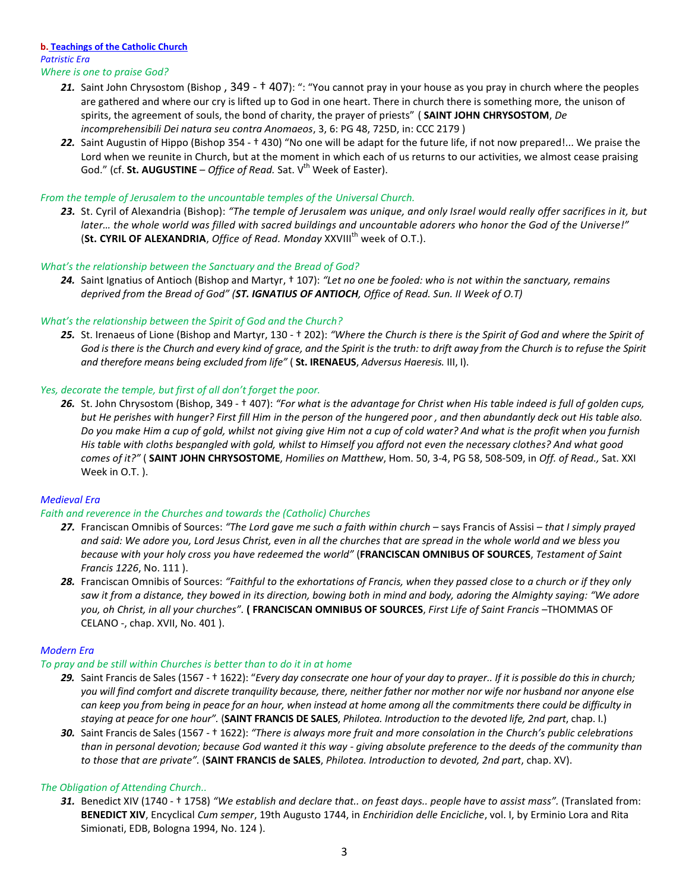#### **b. Teachings of the Catholic Church** *Patristic Era Where is one to praise God?*

- *21.* Saint John Chrysostom (Bishop , 349 † 407): ": "You cannot pray in your house as you pray in church where the peoples are gathered and where our cry is lifted up to God in one heart. There in church there is something more, the unison of spirits, the agreement of souls, the bond of charity, the prayer of priests" ( **SAINT JOHN CHRYSOSTOM**, *De incomprehensibili Dei natura seu contra Anomaeos*, 3, 6: PG 48, 725D, in: CCC 2179 )
- *22.* Saint Augustin of Hippo (Bishop 354 † 430) "No one will be adapt for the future life, if not now prepared!... We praise the Lord when we reunite in Church, but at the moment in which each of us returns to our activities, we almost cease praising God." (cf. **St. AUGUSTINE** – *Office of Read.* Sat. V<sup>th</sup> Week of Easter).

# *From the temple of Jerusalem to the uncountable temples of the Universal Church.*

*23.* St. Cyril of Alexandria (Bishop): *"The temple of Jerusalem was unique, and only Israel would really offer sacrifices in it, but later… the whole world was filled with sacred buildings and uncountable adorers who honor the God of the Universe!"* (St. CYRIL OF ALEXANDRIA, *Office of Read. Monday* XXVIII<sup>th</sup> week of O.T.).

# *What's the relationship between the Sanctuary and the Bread of God?*

*24.* Saint Ignatius of Antioch (Bishop and Martyr, † 107): *"Let no one be fooled: who is not within the sanctuary, remains deprived from the Bread of God" (ST. IGNATIUS OF ANTIOCH, Office of Read. Sun. II Week of O.T)*

## *What's the relationship between the Spirit of God and the Church?*

25. St. Irenaeus of Lione (Bishop and Martyr, 130 - † 202): "Where the Church is there is the Spirit of God and where the Spirit of *God is there is the Church and every kind of grace, and the Spirit is the truth: to drift away from the Church is to refuse the Spirit and therefore means being excluded from life"* ( **St. IRENAEUS**, *Adversus Haeresis.* III, I).

## *Yes, decorate the temple, but first of all don't forget the poor.*

*26.* St. John Chrysostom (Bishop, 349 - † 407): *"For what is the advantage for Christ when His table indeed is full of golden cups, but He perishes with hunger? First fill Him in the person of the hungered poor , and then abundantly deck out His table also. Do you make Him a cup of gold, whilst not giving give Him not a cup of cold water? And what is the profit when you furnish His table with cloths bespangled with gold, whilst to Himself you afford not even the necessary clothes? And what good comes of it?"* ( **SAINT JOHN CHRYSOSTOME**, *Homilies on Matthew*, Hom. 50, 3-4, PG 58, 508-509, in *Off. of Read.,* Sat. XXI Week in O.T. ).

# *Medieval Era*

# *Faith and reverence in the Churches and towards the (Catholic) Churches*

- *27.* Franciscan Omnibis of Sources: *"The Lord gave me such a faith within church –* says Francis of Assisi *that I simply prayed and said: We adore you, Lord Jesus Christ, even in all the churches that are spread in the whole world and we bless you because with your holy cross you have redeemed the world"* (**FRANCISCAN OMNIBUS OF SOURCES**, *Testament of Saint Francis 1226*, No. 111 ).
- *28.* Franciscan Omnibis of Sources: *"Faithful to the exhortations of Francis, when they passed close to a church or if they only saw it from a distance, they bowed in its direction, bowing both in mind and body, adoring the Almighty saying: "We adore you, oh Christ, in all your churches".* **( FRANCISCAN OMNIBUS OF SOURCES**, *First Life of Saint Francis –*THOMMAS OF CELANO -, chap. XVII, No. 401 ).

# *Modern Era*

#### *To pray and be still within Churches is better than to do it in at home*

- *29.* Saint Francis de Sales (1567 † 1622): "*Every day consecrate one hour of your day to prayer.. If it is possible do this in church; you will find comfort and discrete tranquility because, there, neither father nor mother nor wife nor husband nor anyone else can keep you from being in peace for an hour, when instead at home among all the commitments there could be difficulty in staying at peace for one hour".* (**SAINT FRANCIS DE SALES**, *Philotea. Introduction to the devoted life, 2nd part*, chap. I.)
- **30.** Saint Francis de Sales (1567 † 1622): "There is always more fruit and more consolation in the Church's public celebrations *than in personal devotion; because God wanted it this way - giving absolute preference to the deeds of the community than to those that are private".* (**SAINT FRANCIS de SALES**, *Philotea. Introduction to devoted, 2nd part*, chap. XV).

# *The Obligation of Attending Church..*

*31.* Benedict XIV (1740 - † 1758) *"We establish and declare that.. on feast days.. people have to assist mass".* (Translated from: **BENEDICT XIV**, Encyclical *Cum semper*, 19th Augusto 1744, in *Enchiridion delle Encicliche*, vol. I, by Erminio Lora and Rita Simionati, EDB, Bologna 1994, No. 124 ).